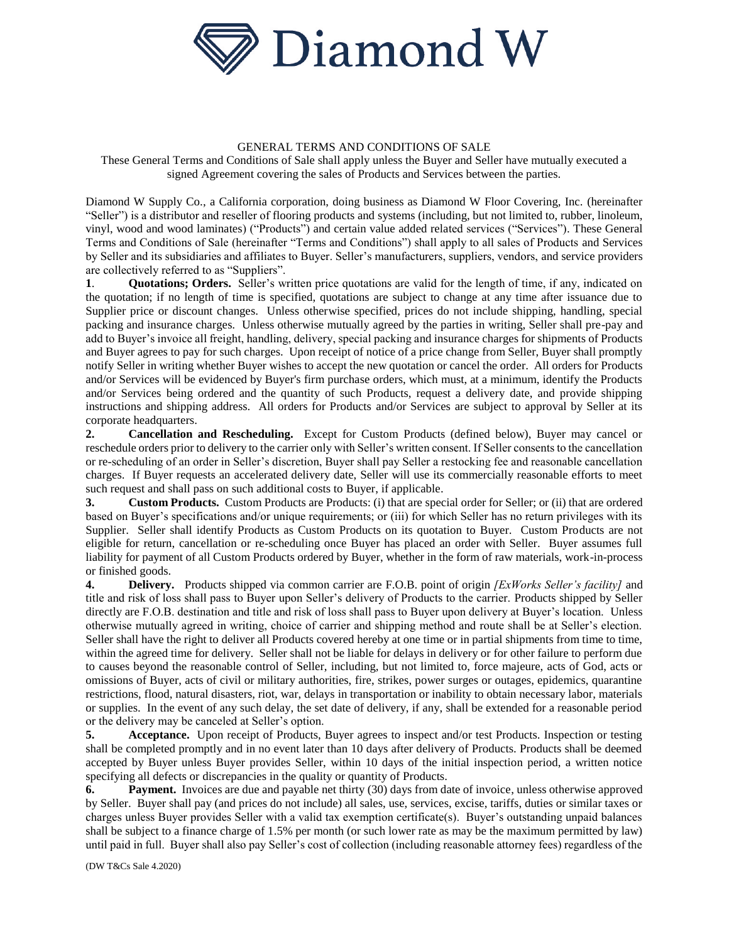

### GENERAL TERMS AND CONDITIONS OF SALE

These General Terms and Conditions of Sale shall apply unless the Buyer and Seller have mutually executed a signed Agreement covering the sales of Products and Services between the parties.

Diamond W Supply Co., a California corporation, doing business as Diamond W Floor Covering, Inc. (hereinafter "Seller") is a distributor and reseller of flooring products and systems (including, but not limited to, rubber, linoleum, vinyl, wood and wood laminates) ("Products") and certain value added related services ("Services"). These General Terms and Conditions of Sale (hereinafter "Terms and Conditions") shall apply to all sales of Products and Services by Seller and its subsidiaries and affiliates to Buyer. Seller's manufacturers, suppliers, vendors, and service providers are collectively referred to as "Suppliers".

**1**. **Quotations; Orders.** Seller's written price quotations are valid for the length of time, if any, indicated on the quotation; if no length of time is specified, quotations are subject to change at any time after issuance due to Supplier price or discount changes. Unless otherwise specified, prices do not include shipping, handling, special packing and insurance charges*.* Unless otherwise mutually agreed by the parties in writing, Seller shall pre-pay and add to Buyer's invoice all freight, handling, delivery, special packing and insurance charges for shipments of Products and Buyer agrees to pay for such charges. Upon receipt of notice of a price change from Seller, Buyer shall promptly notify Seller in writing whether Buyer wishes to accept the new quotation or cancel the order. All orders for Products and/or Services will be evidenced by Buyer's firm purchase orders, which must, at a minimum, identify the Products and/or Services being ordered and the quantity of such Products, request a delivery date, and provide shipping instructions and shipping address. All orders for Products and/or Services are subject to approval by Seller at its corporate headquarters.

**2. Cancellation and Rescheduling.** Except for Custom Products (defined below), Buyer may cancel or reschedule orders prior to delivery to the carrier only with Seller's written consent. If Seller consents to the cancellation or re-scheduling of an order in Seller's discretion, Buyer shall pay Seller a restocking fee and reasonable cancellation charges. If Buyer requests an accelerated delivery date, Seller will use its commercially reasonable efforts to meet such request and shall pass on such additional costs to Buyer, if applicable.

**3.** Custom Products. Custom Products are Products: (i) that are special order for Seller; or (ii) that are ordered based on Buyer's specifications and/or unique requirements; or (iii) for which Seller has no return privileges with its Supplier. Seller shall identify Products as Custom Products on its quotation to Buyer. Custom Products are not eligible for return, cancellation or re-scheduling once Buyer has placed an order with Seller. Buyer assumes full liability for payment of all Custom Products ordered by Buyer, whether in the form of raw materials, work-in-process or finished goods.

**4. Delivery.** Products shipped via common carrier are F.O.B. point of origin *[ExWorks Seller's facility]* and title and risk of loss shall pass to Buyer upon Seller's delivery of Products to the carrier. Products shipped by Seller directly are F.O.B. destination and title and risk of loss shall pass to Buyer upon delivery at Buyer's location. Unless otherwise mutually agreed in writing, choice of carrier and shipping method and route shall be at Seller's election. Seller shall have the right to deliver all Products covered hereby at one time or in partial shipments from time to time, within the agreed time for delivery. Seller shall not be liable for delays in delivery or for other failure to perform due to causes beyond the reasonable control of Seller, including, but not limited to, force majeure, acts of God, acts or omissions of Buyer, acts of civil or military authorities, fire, strikes, power surges or outages, epidemics, quarantine restrictions, flood, natural disasters, riot, war, delays in transportation or inability to obtain necessary labor, materials or supplies. In the event of any such delay, the set date of delivery, if any, shall be extended for a reasonable period or the delivery may be canceled at Seller's option.

**5.** Acceptance. Upon receipt of Products, Buyer agrees to inspect and/or test Products. Inspection or testing shall be completed promptly and in no event later than 10 days after delivery of Products. Products shall be deemed accepted by Buyer unless Buyer provides Seller, within 10 days of the initial inspection period, a written notice specifying all defects or discrepancies in the quality or quantity of Products.

**6. Payment.** Invoices are due and payable net thirty (30) days from date of invoice, unless otherwise approved by Seller. Buyer shall pay (and prices do not include) all sales, use, services, excise, tariffs, duties or similar taxes or charges unless Buyer provides Seller with a valid tax exemption certificate(s). Buyer's outstanding unpaid balances shall be subject to a finance charge of 1.5% per month (or such lower rate as may be the maximum permitted by law) until paid in full. Buyer shall also pay Seller's cost of collection (including reasonable attorney fees) regardless of the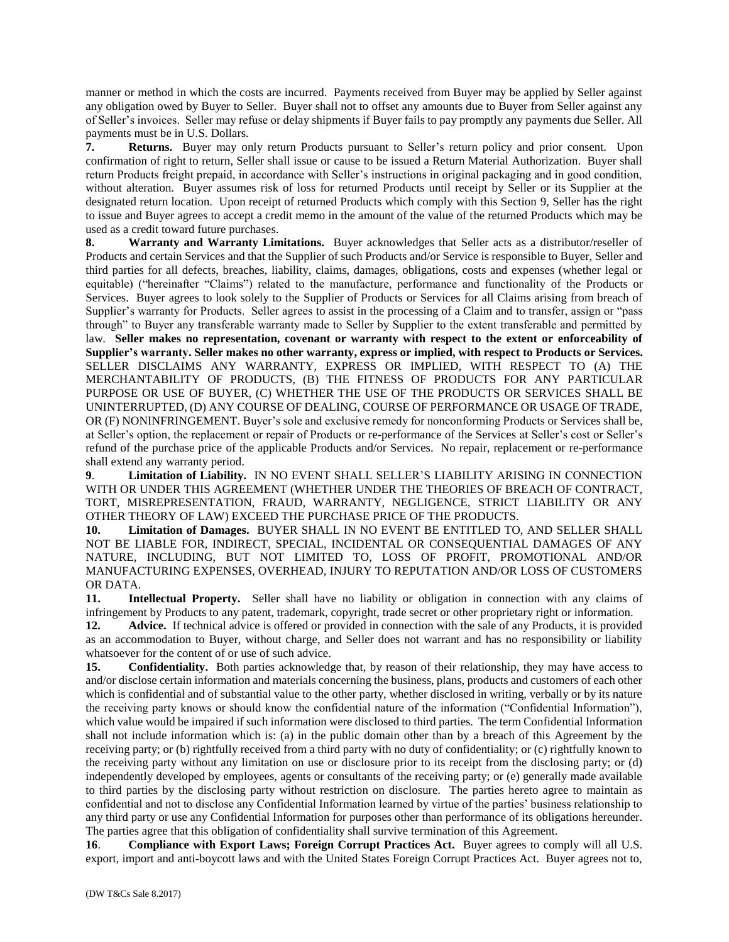manner or method in which the costs are incurred. Payments received from Buyer may be applied by Seller against any obligation owed by Buyer to Seller. Buyer shall not to offset any amounts due to Buyer from Seller against any of Seller's invoices. Seller may refuse or delay shipments if Buyer fails to pay promptly any payments due Seller. All payments must be in U.S. Dollars.

**7. Returns.** Buyer may only return Products pursuant to Seller's return policy and prior consent. Upon confirmation of right to return, Seller shall issue or cause to be issued a Return Material Authorization. Buyer shall return Products freight prepaid, in accordance with Seller's instructions in original packaging and in good condition, without alteration. Buyer assumes risk of loss for returned Products until receipt by Seller or its Supplier at the designated return location. Upon receipt of returned Products which comply with this Section 9, Seller has the right to issue and Buyer agrees to accept a credit memo in the amount of the value of the returned Products which may be used as a credit toward future purchases.

**8. Warranty and Warranty Limitations.** Buyer acknowledges that Seller acts as a distributor/reseller of Products and certain Services and that the Supplier of such Products and/or Service is responsible to Buyer, Seller and third parties for all defects, breaches, liability, claims, damages, obligations, costs and expenses (whether legal or equitable) ("hereinafter "Claims") related to the manufacture, performance and functionality of the Products or Services. Buyer agrees to look solely to the Supplier of Products or Services for all Claims arising from breach of Supplier's warranty for Products. Seller agrees to assist in the processing of a Claim and to transfer, assign or "pass through" to Buyer any transferable warranty made to Seller by Supplier to the extent transferable and permitted by law. **Seller makes no representation, covenant or warranty with respect to the extent or enforceability of Supplier's warranty. Seller makes no other warranty, express or implied, with respect to Products or Services.** SELLER DISCLAIMS ANY WARRANTY, EXPRESS OR IMPLIED, WITH RESPECT TO (A) THE MERCHANTABILITY OF PRODUCTS, (B) THE FITNESS OF PRODUCTS FOR ANY PARTICULAR PURPOSE OR USE OF BUYER, (C) WHETHER THE USE OF THE PRODUCTS OR SERVICES SHALL BE UNINTERRUPTED, (D) ANY COURSE OF DEALING, COURSE OF PERFORMANCE OR USAGE OF TRADE, OR (F) NONINFRINGEMENT. Buyer's sole and exclusive remedy for nonconforming Products or Services shall be, at Seller's option, the replacement or repair of Products or re-performance of the Services at Seller's cost or Seller's refund of the purchase price of the applicable Products and/or Services. No repair, replacement or re-performance shall extend any warranty period.

**9**. **Limitation of Liability.** IN NO EVENT SHALL SELLER'S LIABILITY ARISING IN CONNECTION WITH OR UNDER THIS AGREEMENT (WHETHER UNDER THE THEORIES OF BREACH OF CONTRACT, TORT, MISREPRESENTATION, FRAUD, WARRANTY, NEGLIGENCE, STRICT LIABILITY OR ANY OTHER THEORY OF LAW) EXCEED THE PURCHASE PRICE OF THE PRODUCTS.

**10. Limitation of Damages.** BUYER SHALL IN NO EVENT BE ENTITLED TO, AND SELLER SHALL NOT BE LIABLE FOR, INDIRECT, SPECIAL, INCIDENTAL OR CONSEQUENTIAL DAMAGES OF ANY NATURE, INCLUDING, BUT NOT LIMITED TO, LOSS OF PROFIT, PROMOTIONAL AND/OR MANUFACTURING EXPENSES, OVERHEAD, INJURY TO REPUTATION AND/OR LOSS OF CUSTOMERS OR DATA.

**11. Intellectual Property.** Seller shall have no liability or obligation in connection with any claims of infringement by Products to any patent, trademark, copyright, trade secret or other proprietary right or information.

**12.** Advice. If technical advice is offered or provided in connection with the sale of any Products, it is provided as an accommodation to Buyer, without charge, and Seller does not warrant and has no responsibility or liability whatsoever for the content of or use of such advice.

**15.** Confidentiality. Both parties acknowledge that, by reason of their relationship, they may have access to and/or disclose certain information and materials concerning the business, plans, products and customers of each other which is confidential and of substantial value to the other party, whether disclosed in writing, verbally or by its nature the receiving party knows or should know the confidential nature of the information ("Confidential Information"), which value would be impaired if such information were disclosed to third parties. The term Confidential Information shall not include information which is: (a) in the public domain other than by a breach of this Agreement by the receiving party; or (b) rightfully received from a third party with no duty of confidentiality; or (c) rightfully known to the receiving party without any limitation on use or disclosure prior to its receipt from the disclosing party; or (d) independently developed by employees, agents or consultants of the receiving party; or (e) generally made available to third parties by the disclosing party without restriction on disclosure. The parties hereto agree to maintain as confidential and not to disclose any Confidential Information learned by virtue of the parties' business relationship to any third party or use any Confidential Information for purposes other than performance of its obligations hereunder. The parties agree that this obligation of confidentiality shall survive termination of this Agreement.

**16. Compliance with Export Laws; Foreign Corrupt Practices Act.** Buyer agrees to comply will all U.S. export, import and anti-boycott laws and with the United States Foreign Corrupt Practices Act. Buyer agrees not to,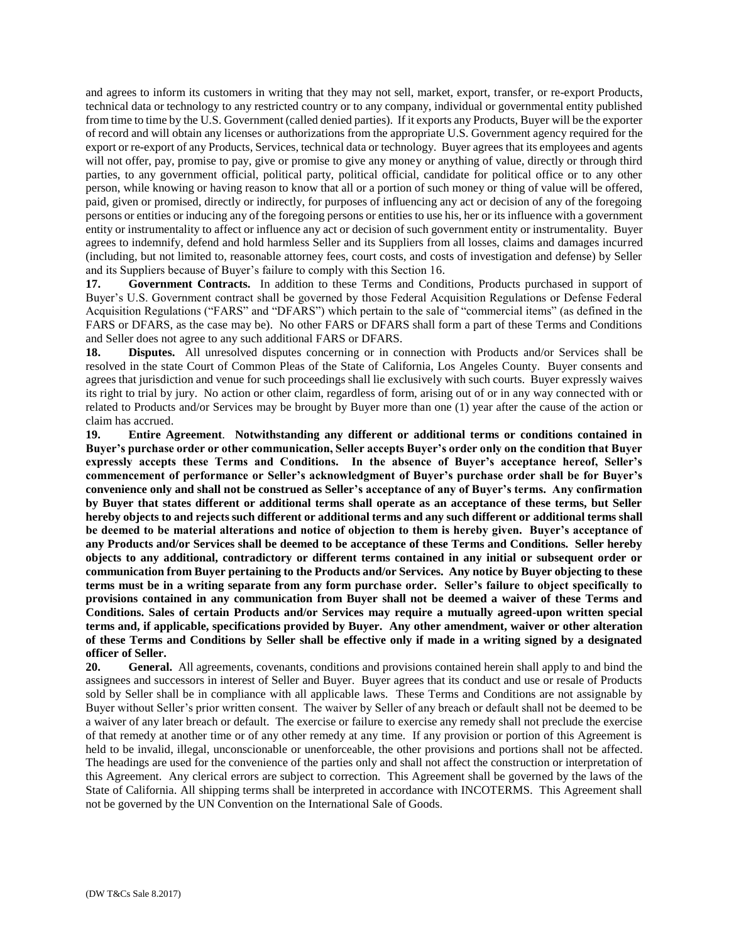and agrees to inform its customers in writing that they may not sell, market, export, transfer, or re-export Products, technical data or technology to any restricted country or to any company, individual or governmental entity published from time to time by the U.S. Government (called denied parties). If it exports any Products, Buyer will be the exporter of record and will obtain any licenses or authorizations from the appropriate U.S. Government agency required for the export or re-export of any Products, Services, technical data or technology. Buyer agrees that its employees and agents will not offer, pay, promise to pay, give or promise to give any money or anything of value, directly or through third parties, to any government official, political party, political official, candidate for political office or to any other person, while knowing or having reason to know that all or a portion of such money or thing of value will be offered, paid, given or promised, directly or indirectly, for purposes of influencing any act or decision of any of the foregoing persons or entities or inducing any of the foregoing persons or entities to use his, her or its influence with a government entity or instrumentality to affect or influence any act or decision of such government entity or instrumentality. Buyer agrees to indemnify, defend and hold harmless Seller and its Suppliers from all losses, claims and damages incurred (including, but not limited to, reasonable attorney fees, court costs, and costs of investigation and defense) by Seller and its Suppliers because of Buyer's failure to comply with this Section 16.

**17. Government Contracts.** In addition to these Terms and Conditions, Products purchased in support of Buyer's U.S. Government contract shall be governed by those Federal Acquisition Regulations or Defense Federal Acquisition Regulations ("FARS" and "DFARS") which pertain to the sale of "commercial items" (as defined in the FARS or DFARS, as the case may be). No other FARS or DFARS shall form a part of these Terms and Conditions and Seller does not agree to any such additional FARS or DFARS.

**18. Disputes.** All unresolved disputes concerning or in connection with Products and/or Services shall be resolved in the state Court of Common Pleas of the State of California, Los Angeles County. Buyer consents and agrees that jurisdiction and venue for such proceedings shall lie exclusively with such courts. Buyer expressly waives its right to trial by jury. No action or other claim, regardless of form, arising out of or in any way connected with or related to Products and/or Services may be brought by Buyer more than one (1) year after the cause of the action or claim has accrued.

**19. Entire Agreement**. **Notwithstanding any different or additional terms or conditions contained in Buyer's purchase order or other communication, Seller accepts Buyer's order only on the condition that Buyer expressly accepts these Terms and Conditions. In the absence of Buyer's acceptance hereof, Seller's commencement of performance or Seller's acknowledgment of Buyer's purchase order shall be for Buyer's convenience only and shall not be construed as Seller's acceptance of any of Buyer's terms. Any confirmation by Buyer that states different or additional terms shall operate as an acceptance of these terms, but Seller hereby objects to and rejects such different or additional terms and any such different or additional terms shall be deemed to be material alterations and notice of objection to them is hereby given. Buyer's acceptance of any Products and/or Services shall be deemed to be acceptance of these Terms and Conditions. Seller hereby objects to any additional, contradictory or different terms contained in any initial or subsequent order or communication from Buyer pertaining to the Products and/or Services. Any notice by Buyer objecting to these terms must be in a writing separate from any form purchase order. Seller's failure to object specifically to provisions contained in any communication from Buyer shall not be deemed a waiver of these Terms and Conditions. Sales of certain Products and/or Services may require a mutually agreed-upon written special terms and, if applicable, specifications provided by Buyer. Any other amendment, waiver or other alteration of these Terms and Conditions by Seller shall be effective only if made in a writing signed by a designated officer of Seller.**

**20. General.** All agreements, covenants, conditions and provisions contained herein shall apply to and bind the assignees and successors in interest of Seller and Buyer. Buyer agrees that its conduct and use or resale of Products sold by Seller shall be in compliance with all applicable laws. These Terms and Conditions are not assignable by Buyer without Seller's prior written consent. The waiver by Seller of any breach or default shall not be deemed to be a waiver of any later breach or default. The exercise or failure to exercise any remedy shall not preclude the exercise of that remedy at another time or of any other remedy at any time. If any provision or portion of this Agreement is held to be invalid, illegal, unconscionable or unenforceable, the other provisions and portions shall not be affected. The headings are used for the convenience of the parties only and shall not affect the construction or interpretation of this Agreement. Any clerical errors are subject to correction. This Agreement shall be governed by the laws of the State of California. All shipping terms shall be interpreted in accordance with INCOTERMS. This Agreement shall not be governed by the UN Convention on the International Sale of Goods.